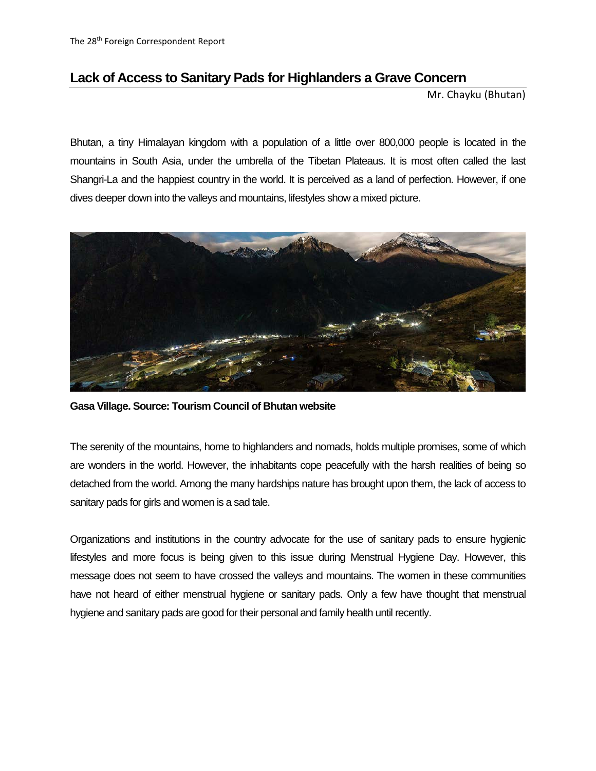## **Lack of Access to Sanitary Pads for Highlanders a Grave Concern**

Mr. Chayku (Bhutan)

Bhutan, a tiny Himalayan kingdom with a population of a little over 800,000 people is located in the mountains in South Asia, under the umbrella of the Tibetan Plateaus. It is most often called the last Shangri-La and the happiest country in the world. It is perceived as a land of perfection. However, if one dives deeper down into the valleys and mountains, lifestyles show a mixed picture.



**Gasa Village. Source: Tourism Council of Bhutan website**

The serenity of the mountains, home to highlanders and nomads, holds multiple promises, some of which are wonders in the world. However, the inhabitants cope peacefully with the harsh realities of being so detached from the world. Among the many hardships nature has brought upon them, the lack of access to sanitary pads for girls and women is a sad tale.

Organizations and institutions in the country advocate for the use of sanitary pads to ensure hygienic lifestyles and more focus is being given to this issue during Menstrual Hygiene Day. However, this message does not seem to have crossed the valleys and mountains. The women in these communities have not heard of either menstrual hygiene or sanitary pads. Only a few have thought that menstrual hygiene and sanitary pads are good for their personal and family health until recently.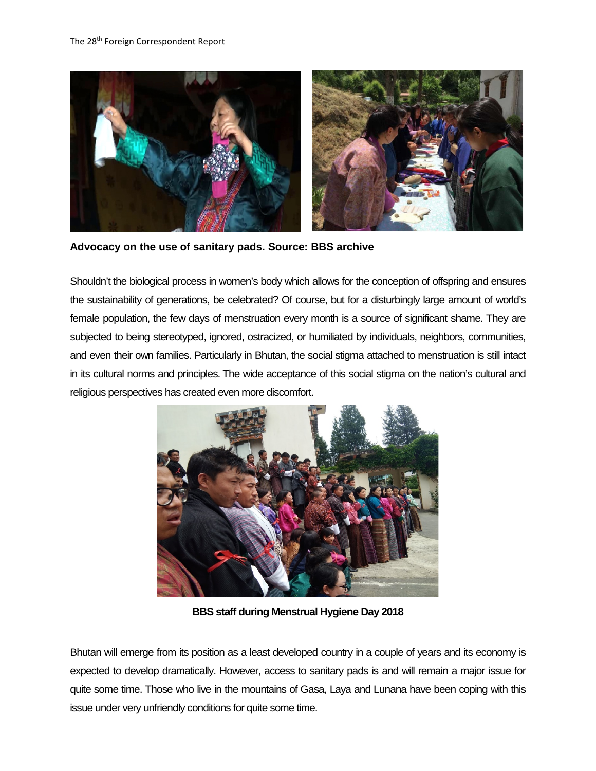

**Advocacy on the use of sanitary pads. Source: BBS archive**

Shouldn't the biological process in women's body which allows for the conception of offspring and ensures the sustainability of generations, be celebrated? Of course, but for a disturbingly large amount of world's female population, the few days of menstruation every month is a source of significant shame. They are subjected to being stereotyped, ignored, ostracized, or humiliated by individuals, neighbors, communities, and even their own families. Particularly in Bhutan, the social stigma attached to menstruation is still intact in its cultural norms and principles. The wide acceptance of this social stigma on the nation's cultural and religious perspectives has created even more discomfort.



**BBS staff during Menstrual Hygiene Day 2018**

Bhutan will emerge from its position as a least developed country in a couple of years and its economy is expected to develop dramatically. However, access to sanitary pads is and will remain a major issue for quite some time. Those who live in the mountains of Gasa, Laya and Lunana have been coping with this issue under very unfriendly conditions for quite some time.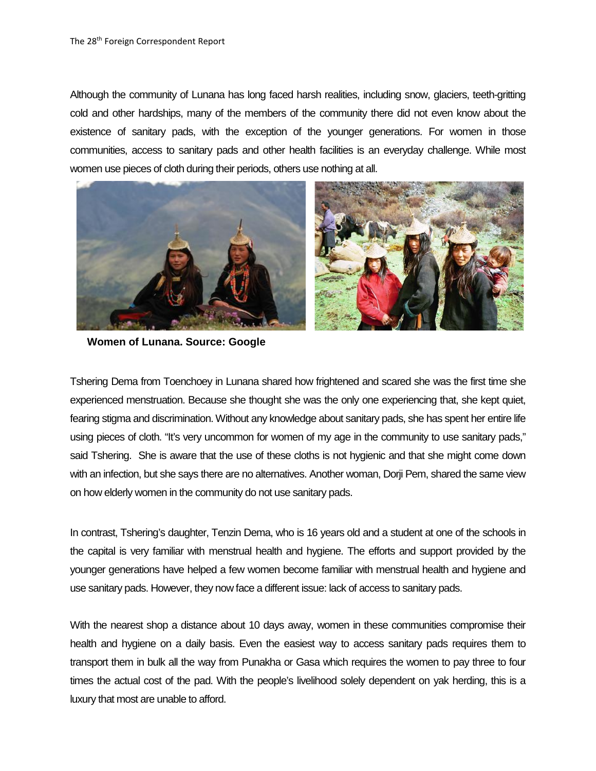Although the community of Lunana has long faced harsh realities, including snow, glaciers, teeth-gritting cold and other hardships, many of the members of the community there did not even know about the existence of sanitary pads, with the exception of the younger generations. For women in those communities, access to sanitary pads and other health facilities is an everyday challenge. While most women use pieces of cloth during their periods, others use nothing at all.



**Women of Lunana. Source: Google**

Tshering Dema from Toenchoey in Lunana shared how frightened and scared she was the first time she experienced menstruation. Because she thought she was the only one experiencing that, she kept quiet, fearing stigma and discrimination. Without any knowledge about sanitary pads, she has spent her entire life using pieces of cloth. "It's very uncommon for women of my age in the community to use sanitary pads," said Tshering. She is aware that the use of these cloths is not hygienic and that she might come down with an infection, but she says there are no alternatives. Another woman, Dorji Pem, shared the same view on how elderly women in the community do not use sanitary pads.

In contrast, Tshering's daughter, Tenzin Dema, who is 16 years old and a student at one of the schools in the capital is very familiar with menstrual health and hygiene. The efforts and support provided by the younger generations have helped a few women become familiar with menstrual health and hygiene and use sanitary pads. However, they now face a different issue: lack of access to sanitary pads.

With the nearest shop a distance about 10 days away, women in these communities compromise their health and hygiene on a daily basis. Even the easiest way to access sanitary pads requires them to transport them in bulk all the way from Punakha or Gasa which requires the women to pay three to four times the actual cost of the pad. With the people's livelihood solely dependent on yak herding, this is a luxury that most are unable to afford.